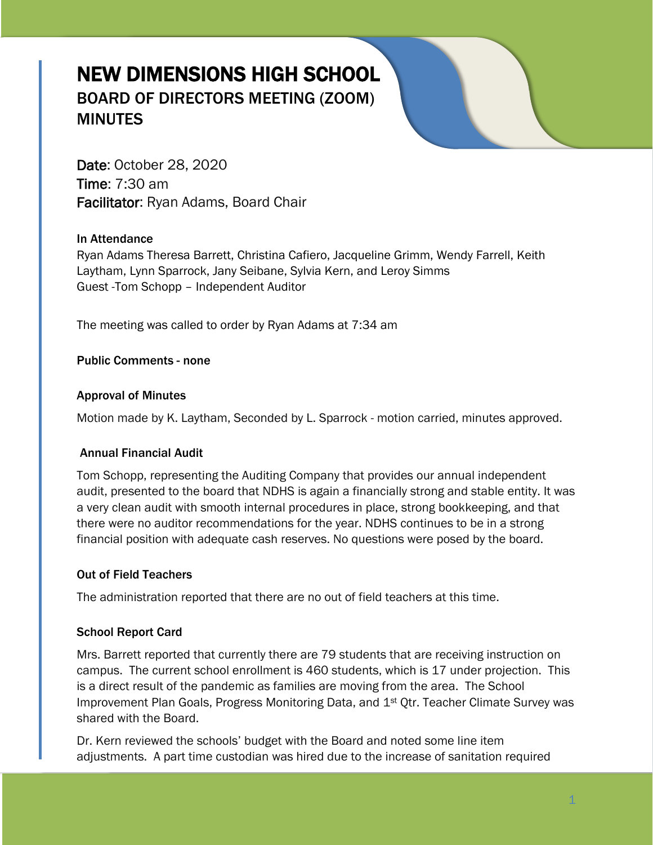# NEW DIMENSIONS HIGH SCHOOL BOARD OF DIRECTORS MEETING (ZOOM) **MINUTES**

Date: October 28, 2020 Time: 7:30 am Facilitator: Ryan Adams, Board Chair

# In Attendance

Ryan Adams Theresa Barrett, Christina Cafiero, Jacqueline Grimm, Wendy Farrell, Keith Laytham, Lynn Sparrock, Jany Seibane, Sylvia Kern, and Leroy Simms Guest -Tom Schopp – Independent Auditor

The meeting was called to order by Ryan Adams at 7:34 am

Public Comments - none

## Approval of Minutes

Motion made by K. Laytham, Seconded by L. Sparrock - motion carried, minutes approved.

## Annual Financial Audit

Tom Schopp, representing the Auditing Company that provides our annual independent audit, presented to the board that NDHS is again a financially strong and stable entity. It was a very clean audit with smooth internal procedures in place, strong bookkeeping, and that there were no auditor recommendations for the year. NDHS continues to be in a strong financial position with adequate cash reserves. No questions were posed by the board.

## Out of Field Teachers

The administration reported that there are no out of field teachers at this time.

## School Report Card

Mrs. Barrett reported that currently there are 79 students that are receiving instruction on campus. The current school enrollment is 460 students, which is 17 under projection. This is a direct result of the pandemic as families are moving from the area. The School Improvement Plan Goals, Progress Monitoring Data, and 1<sup>st</sup> Qtr. Teacher Climate Survey was shared with the Board.

Dr. Kern reviewed the schools' budget with the Board and noted some line item adjustments. A part time custodian was hired due to the increase of sanitation required